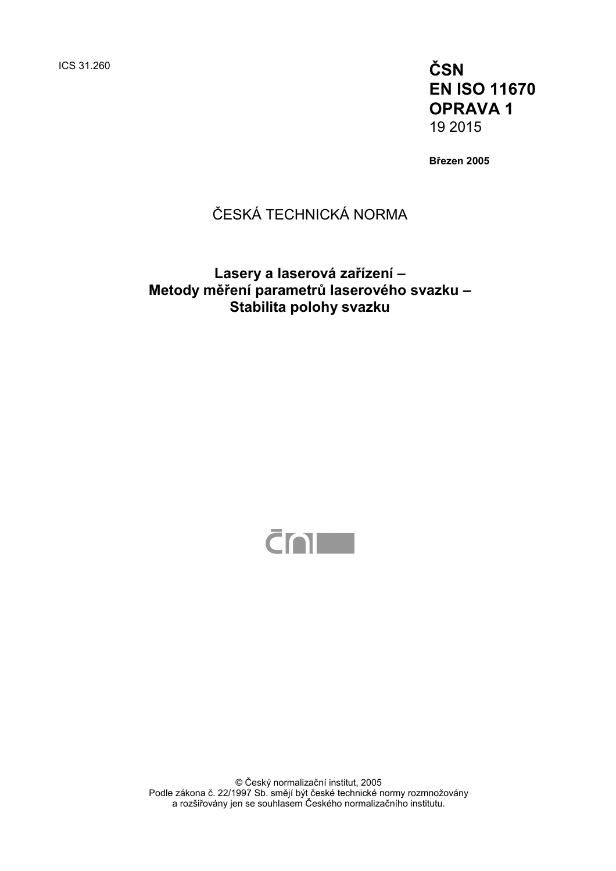ICS 31.260 **ČSN EN ISO 11670 OPRAVA 1**  19 2015

**Březen 2005** 

# ČESKÁ TECHNICKÁ NORMA

## **Lasery a laserová zařízení – Metody měření parametrů laserového svazku – Stabilita polohy svazku**



© Český normalizační institut, 2005 Podle zákona č. 22/1997 Sb. smějí být české technické normy rozmnožovány a rozšiřovány jen se souhlasem Českého normalizačního institutu.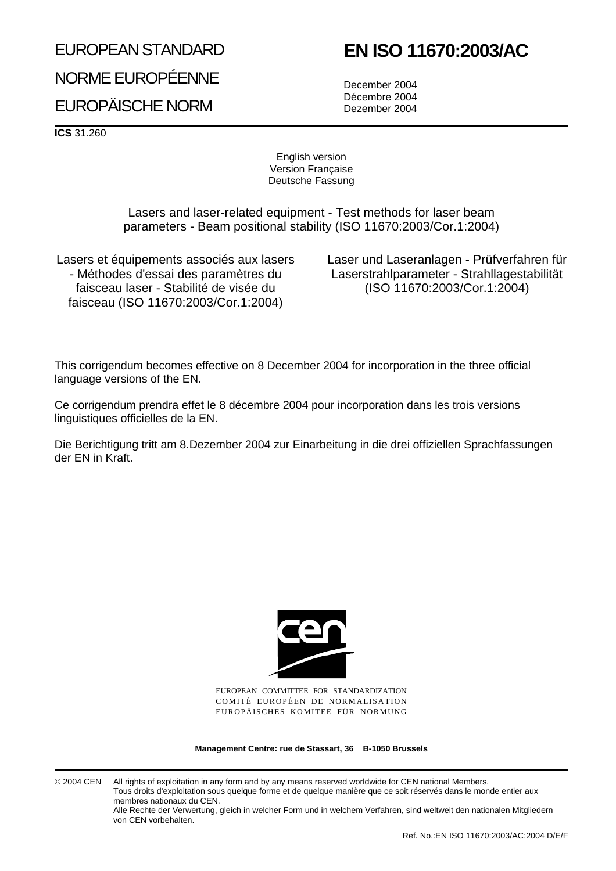## EUROPEAN STANDARD

# **EN ISO 11670:2003/AC**

NORME EUROPÉENNE EUROPÄISCHE NORM

December 2004 Décembre 2004 Dezember 2004

**ICS** 31.260

English version Version Française Deutsche Fassung

Lasers and laser-related equipment - Test methods for laser beam parameters - Beam positional stability (ISO 11670:2003/Cor.1:2004)

Lasers et équipements associés aux lasers - Méthodes d'essai des paramètres du faisceau laser - Stabilité de visée du faisceau (ISO 11670:2003/Cor.1:2004)

Laser und Laseranlagen - Prüfverfahren für Laserstrahlparameter - Strahllagestabilität (ISO 11670:2003/Cor.1:2004)

This corrigendum becomes effective on 8 December 2004 for incorporation in the three official language versions of the EN.

Ce corrigendum prendra effet le 8 décembre 2004 pour incorporation dans les trois versions linguistiques officielles de la EN.

Die Berichtigung tritt am 8.Dezember 2004 zur Einarbeitung in die drei offiziellen Sprachfassungen der EN in Kraft.



EUROPEAN COMMITTEE FOR STANDARDIZATION COMITÉ EUROPÉEN DE NORMALISATION EUROPÄISCHES KOMITEE FÜR NORMUNG

**Management Centre: rue de Stassart, 36 B-1050 Brussels**

© 2004 CEN All rights of exploitation in any form and by any means reserved worldwide for CEN national Members. Tous droits d'exploitation sous quelque forme et de quelque manière que ce soit réservés dans le monde entier aux membres nationaux du CEN. Alle Rechte der Verwertung, gleich in welcher Form und in welchem Verfahren, sind weltweit den nationalen Mitgliedern von CEN vorbehalten.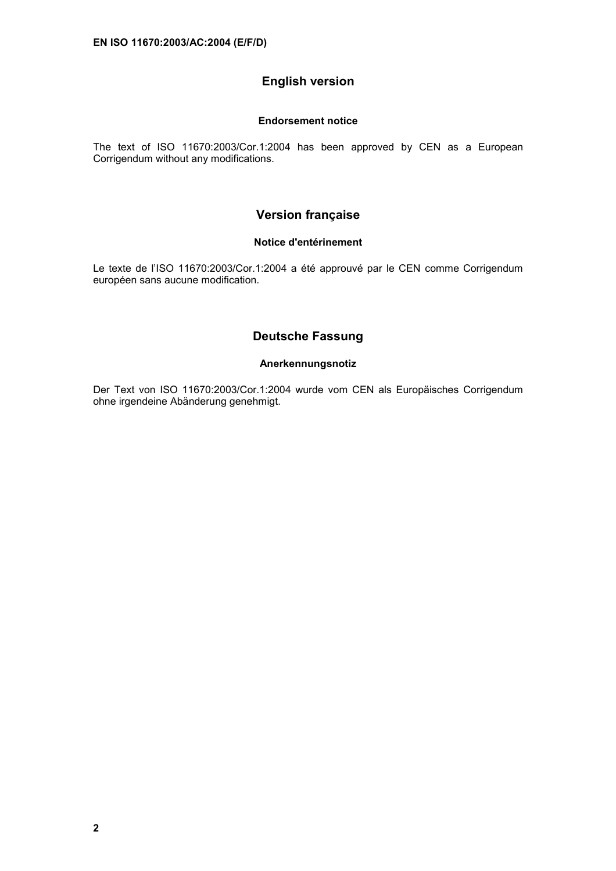#### **English version**

#### **Endorsement notice**

The text of ISO 11670:2003/Cor.1:2004 has been approved by CEN as a European Corrigendum without any modifications.

#### **Version française**

#### **Notice d'entérinement**

Le texte de l'ISO 11670:2003/Cor.1:2004 a été approuvé par le CEN comme Corrigendum européen sans aucune modification.

#### **Deutsche Fassung**

#### **Anerkennungsnotiz**

Der Text von ISO 11670:2003/Cor.1:2004 wurde vom CEN als Europäisches Corrigendum ohne irgendeine Abänderung genehmigt.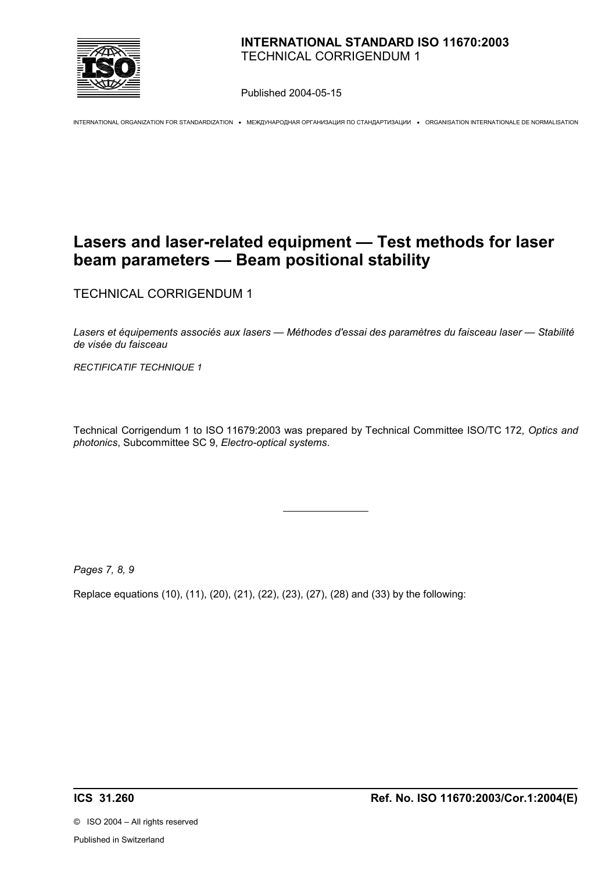

Published 2004-05-15

INTERNATIONAL ORGANIZATION FOR STANDARDIZATION • МЕЖДУНАРОДНАЯ ОРГАНИЗАЦИЯ ПО СТАНДАРТИЗАЦИИ • ORGANISATION INTERNATIONALE DE NORMALISATION

# **Lasers and laser-related equipment — Test methods for laser beam parameters — Beam positional stability**

TECHNICAL CORRIGENDUM 1

*Lasers et équipements associés aux lasers — Méthodes d'essai des paramètres du faisceau laser — Stabilité de visée du faisceau*

*RECTIFICATIF TECHNIQUE 1*

Technical Corrigendum 1 to ISO 11679:2003 was prepared by Technical Committee ISO/TC 172, *Optics and photonics*, Subcommittee SC 9, *Electro-optical systems*.

*Pages 7, 8, 9* 

Replace equations (10), (11), (20), (21), (22), (23), (27), (28) and (33) by the following:

 $\overline{a}$ 

©ISO 2004 – All rights reserved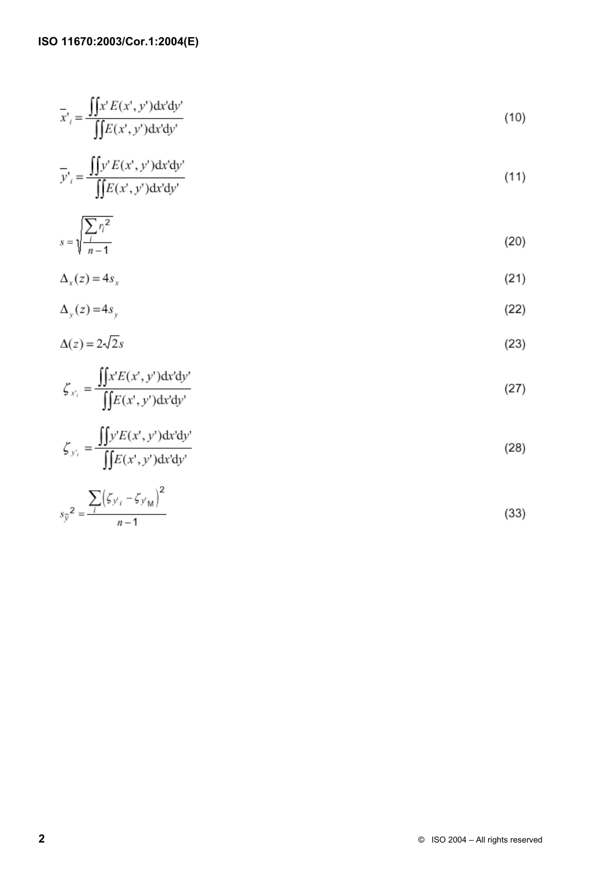$$
\overline{x'}_i = \frac{\iint x' E(x', y') dx' dy'}{\iint E(x', y') dx' dy'}
$$
\n(10)

$$
\overline{y'}_i = \frac{\iint y' E(x', y') dx' dy'}{\iint E(x', y') dx' dy'}
$$
\n(11)

$$
s = \sqrt{\frac{\sum r_i^2}{n - 1}}
$$
 (20)

$$
\Delta_x(z) = 4s_x \tag{21}
$$

$$
\Delta_y(z) = 4s_y \tag{22}
$$

$$
\Delta(z) = 2\sqrt{2}s\tag{23}
$$

$$
\zeta_{x_i} = \frac{\iint x' E(x', y') dx' dy'}{\iint E(x', y') dx' dy'}
$$
\n(27)

$$
\zeta_{y_i} = \frac{\iint y'E(x', y') dx' dy'}{\iint E(x', y') dx' dy'}
$$
\n(28)

$$
s_{\tilde{y}}^2 = \frac{\sum_{i} (\zeta_{y_i} - \zeta_{y_M})^2}{n - 1}
$$
 (33)